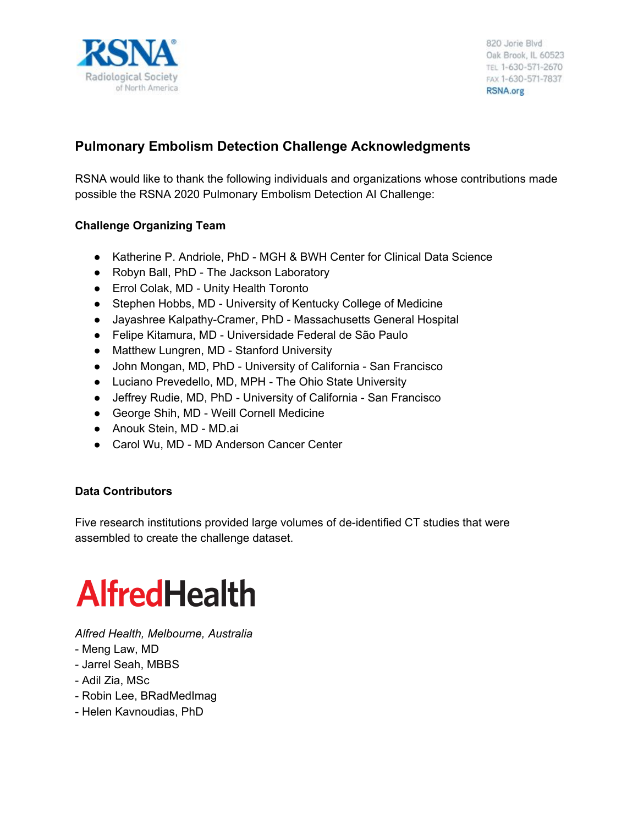

820 Jorie Blvd Oak Brook, IL 60523 TEL 1-630-571-2670 FAX 1-630-571-7837 RSNA.org

### **Pulmonary Embolism Detection Challenge Acknowledgments**

RSNA would like to thank the following individuals and organizations whose contributions made possible the RSNA 2020 Pulmonary Embolism Detection AI Challenge:

#### **Challenge Organizing Team**

- Katherine P. Andriole, PhD MGH & BWH Center for Clinical Data Science
- Robyn Ball, PhD The Jackson Laboratory
- Errol Colak, MD Unity Health Toronto
- Stephen Hobbs, MD University of Kentucky College of Medicine
- Jayashree Kalpathy-Cramer, PhD Massachusetts General Hospital
- Felipe Kitamura, MD [Universidade Federal de São Paulo](https://www.researchgate.net/institution/Universidade_Federal_de_Sao_Paulo)
- Matthew Lungren, MD Stanford University
- John Mongan, MD, PhD University of California San Francisco
- Luciano Prevedello, MD, MPH The Ohio State University
- Jeffrey Rudie, MD, PhD University of California San Francisco
- George Shih, MD Weill Cornell Medicine
- Anouk Stein, MD MD.ai
- Carol Wu, MD MD Anderson Cancer Center

#### **Data Contributors**

Five research institutions provided large volumes of de-identified CT studies that were assembled to create the challenge dataset.

## **AlfredHealth**

*Alfred Health, Melbourne, Australia*

- Meng Law, MD
- Jarrel Seah, MBBS
- Adil Zia, MSc
- Robin Lee, BRadMedImag
- Helen Kavnoudias, PhD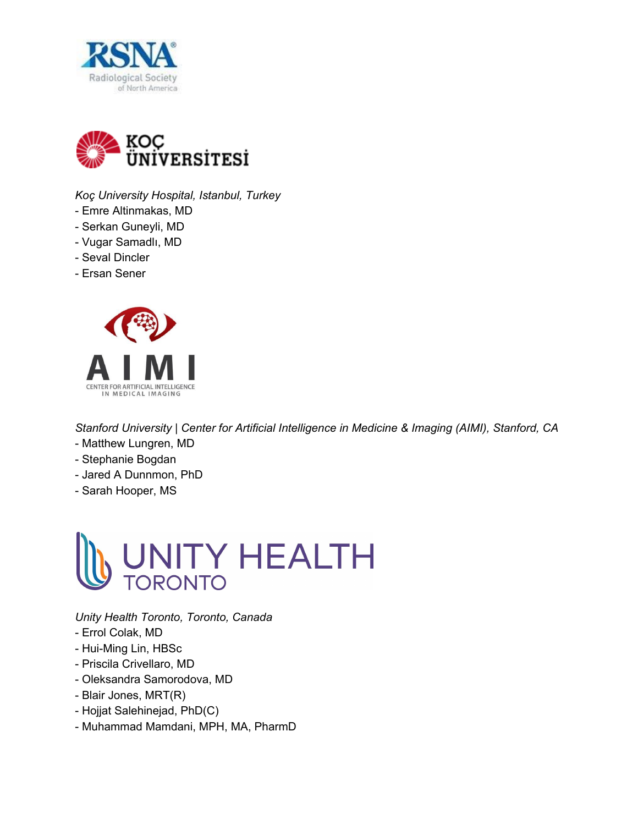



*Koç University Hospital, Istanbul, Turkey*

- Emre Altinmakas, MD
- Serkan Guneyli, MD
- Vugar Samadlı, MD
- Seval Dincler
- Ersan Sener



*Stanford University | Center for Artificial Intelligence in Medicine & Imaging (AIMI), Stanford, CA*

- Matthew Lungren, MD
- Stephanie Bogdan
- Jared A Dunnmon, PhD
- Sarah Hooper, MS



*Unity Health Toronto, Toronto, Canada*

- Errol Colak, MD
- Hui-Ming Lin, HBSc
- Priscila Crivellaro, MD
- Oleksandra Samorodova, MD
- Blair Jones, MRT(R)
- Hojjat Salehinejad, PhD(C)
- Muhammad Mamdani, MPH, MA, PharmD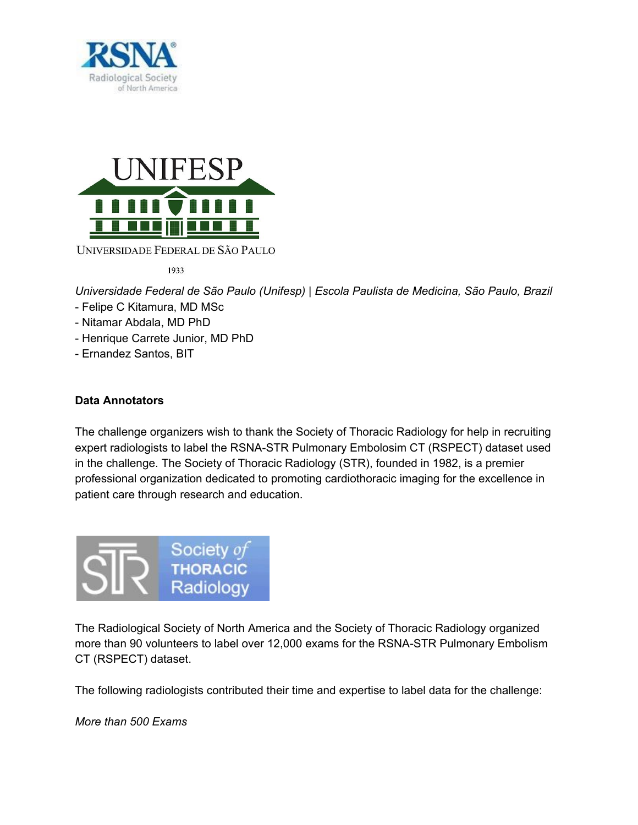



1933

*Universidade Federal de São Paulo (Unifesp) | Escola Paulista de Medicina, São Paulo, Brazil*

- Felipe C Kitamura, MD MSc
- Nitamar Abdala, MD PhD
- Henrique Carrete Junior, MD PhD
- Ernandez Santos, BIT

#### **Data Annotators**

The challenge organizers wish to thank the Society of Thoracic Radiology for help in recruiting expert radiologists to label the RSNA-STR Pulmonary Embolosim CT (RSPECT) dataset used in the challenge. The Society of Thoracic Radiology (STR), founded in 1982, is a premier professional organization dedicated to promoting cardiothoracic imaging for the excellence in patient care through research and education.



The Radiological Society of North America and the Society of Thoracic Radiology organized more than 90 volunteers to label over 12,000 exams for the RSNA-STR Pulmonary Embolism CT (RSPECT) dataset.

The following radiologists contributed their time and expertise to label data for the challenge:

*More than 500 Exams*